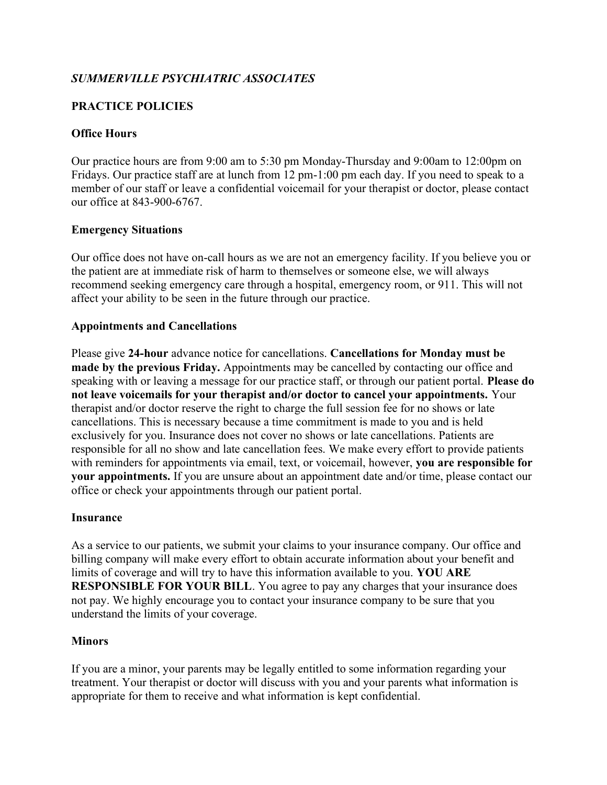# SUMMERVILLE PSYCHIATRIC ASSOCIATES

# PRACTICE POLICIES

## Office Hours

Our practice hours are from 9:00 am to 5:30 pm Monday-Thursday and 9:00am to 12:00pm on Fridays. Our practice staff are at lunch from 12 pm-1:00 pm each day. If you need to speak to a member of our staff or leave a confidential voicemail for your therapist or doctor, please contact our office at 843-900-6767.

### Emergency Situations

Our office does not have on-call hours as we are not an emergency facility. If you believe you or the patient are at immediate risk of harm to themselves or someone else, we will always recommend seeking emergency care through a hospital, emergency room, or 911. This will not affect your ability to be seen in the future through our practice.

#### Appointments and Cancellations

Please give 24-hour advance notice for cancellations. Cancellations for Monday must be made by the previous Friday. Appointments may be cancelled by contacting our office and speaking with or leaving a message for our practice staff, or through our patient portal. **Please do** not leave voicemails for your therapist and/or doctor to cancel your appointments. Your therapist and/or doctor reserve the right to charge the full session fee for no shows or late cancellations. This is necessary because a time commitment is made to you and is held exclusively for you. Insurance does not cover no shows or late cancellations. Patients are responsible for all no show and late cancellation fees. We make every effort to provide patients with reminders for appointments via email, text, or voicemail, however, you are responsible for your appointments. If you are unsure about an appointment date and/or time, please contact our office or check your appointments through our patient portal.

### Insurance

As a service to our patients, we submit your claims to your insurance company. Our office and billing company will make every effort to obtain accurate information about your benefit and limits of coverage and will try to have this information available to you. YOU ARE RESPONSIBLE FOR YOUR BILL. You agree to pay any charges that your insurance does not pay. We highly encourage you to contact your insurance company to be sure that you understand the limits of your coverage.

### **Minors**

If you are a minor, your parents may be legally entitled to some information regarding your treatment. Your therapist or doctor will discuss with you and your parents what information is appropriate for them to receive and what information is kept confidential.